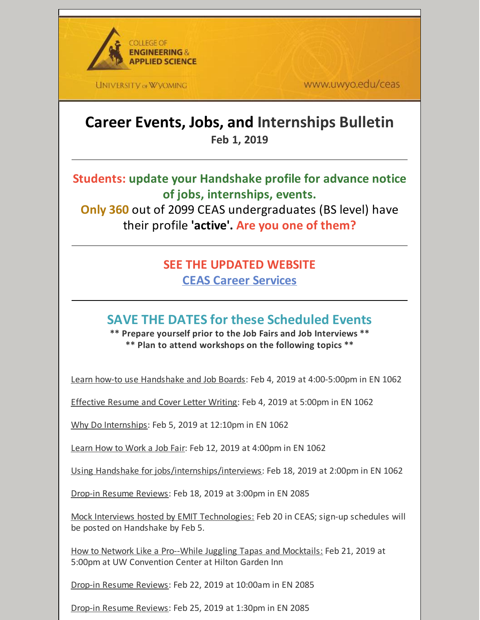

**UNIVERSITY OF WYOMING** 

www.uwyo.edu/ceas

# **Career Events, Jobs, and Internships Bulletin Feb 1, 2019**

**Students: update your Handshake profile for advance notice of jobs, internships, events.**

**Only 360** out of 2099 CEAS undergraduates (BS level) have their profile **'active'. Are you one of them?**

## **SEE THE UPDATED WEBSITE CEAS Career [Services](http://www.uwyo.edu/ceas/resources/studentservices/jobs/index.html)**

# **SAVE THE DATES for these Scheduled Events**

**\*\* Prepare yourself prior to the Job Fairs and Job Interviews \*\* \*\* Plan to attend workshops on the following topics \*\***

Learn how-to use Handshake and Job Boards: Feb 4, 2019 at 4:00-5:00pm in EN 1062

Effective Resume and Cover Letter Writing: Feb 4, 2019 at 5:00pm in EN 1062

Why Do Internships: Feb 5, 2019 at 12:10pm in EN 1062

Learn How to Work a Job Fair: Feb 12, 2019 at 4:00pm in EN 1062

Using Handshake for jobs/internships/interviews: Feb 18, 2019 at 2:00pm in EN 1062

Drop-in Resume Reviews: Feb 18, 2019 at 3:00pm in EN 2085

Mock Interviews hosted by EMIT Technologies: Feb 20 in CEAS; sign-up schedules will be posted on Handshake by Feb 5.

How to Network Like a Pro--While Juggling Tapas and Mocktails: Feb 21, 2019 at 5:00pm at UW Convention Center at Hilton Garden Inn

Drop-in Resume Reviews: Feb 22, 2019 at 10:00am in EN 2085

Drop-in Resume Reviews: Feb 25, 2019 at 1:30pm in EN 2085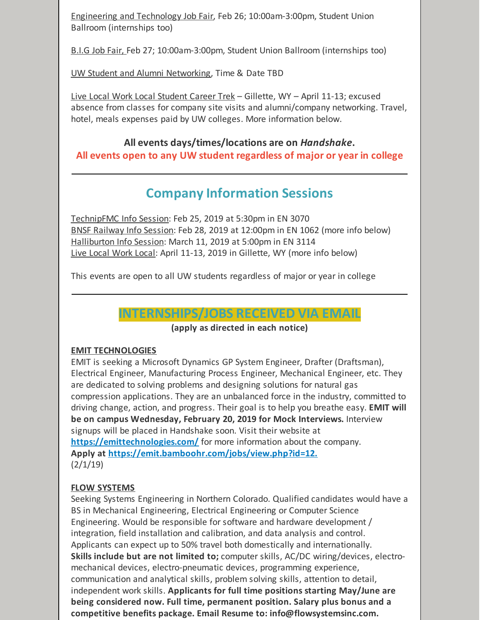Engineering and Technology Job Fair, Feb 26; 10:00am-3:00pm, Student Union Ballroom (internships too)

B.I.G Job Fair, Feb 27; 10:00am-3:00pm, Student Union Ballroom (internships too)

UW Student and Alumni Networking, Time & Date TBD

Live Local Work Local Student Career Trek – Gillette, WY – April 11-13; excused absence from classes for company site visits and alumni/company networking. Travel, hotel, meals expenses paid by UW colleges. More information below.

## **All events days/times/locations are on** *Handshake***. All events open to any UW student regardless of major or year in college**

# **Company Information Sessions**

TechnipFMC Info Session: Feb 25, 2019 at 5:30pm in EN 3070 BNSF Railway Info Session: Feb 28, 2019 at 12:00pm in EN 1062 (more info below) Halliburton Info Session: March 11, 2019 at 5:00pm in EN 3114 Live Local Work Local: April 11-13, 2019 in Gillette, WY (more info below)

This events are open to all UW students regardless of major or year in college

## **INTERNSHIPS/JOBS RECEIVED VIA EMAIL**

**(apply as directed in each notice)**

#### **EMIT TECHNOLOGIES**

EMIT is seeking a Microsoft Dynamics GP System Engineer, Drafter (Draftsman), Electrical Engineer, Manufacturing Process Engineer, Mechanical Engineer, etc. They are dedicated to solving problems and designing solutions for natural gas compression applications. They are an unbalanced force in the industry, committed to driving change, action, and progress. Their goal is to help you breathe easy. **EMIT will be on campus Wednesday, February 20, 2019 for Mock Interviews.** Interview signups will be placed in Handshake soon. Visit their website at **<https://emittechnologies.com/>** for more information about the company. **Apply at [https://emit.bamboohr.com/jobs/view.php?id=12.](https://emit.bamboohr.com/jobs/view.php?id=12)**  $(2/1/19)$ 

## **FLOW SYSTEMS**

Seeking Systems Engineering in Northern Colorado. Qualified candidates would have a BS in Mechanical Engineering, Electrical Engineering or Computer Science Engineering. Would be responsible for software and hardware development / integration, field installation and calibration, and data analysis and control. Applicants can expect up to 50% travel both domestically and internationally. **Skills include but are not limited to;** computer skills, AC/DC wiring/devices, electromechanical devices, electro-pneumatic devices, programming experience, communication and analytical skills, problem solving skills, attention to detail, independent work skills. **Applicants for full time positions starting May/June are being considered now. Full time, permanent position. Salary plus bonus and a competitive benefits package. Email Resume to: info@flowsystemsinc.com.**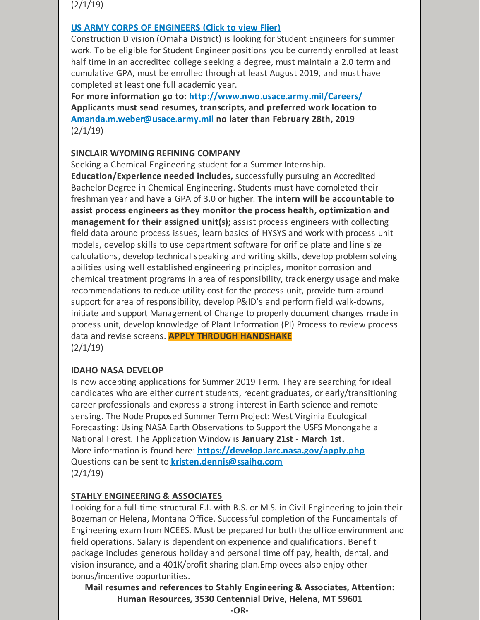$(2/1/19)$ 

#### **US ARMY CORPS OF [ENGINEERS](https://files.constantcontact.com/b2624f04701/527cbe14-4614-4e2a-871e-5c02a6e612b4.pdf) (Click to view Flier)**

Construction Division (Omaha District) is looking for Student Engineers for summer work. To be eligible for Student Engineer positions you be currently enrolled at least half time in an accredited college seeking a degree, must maintain a 2.0 term and cumulative GPA, must be enrolled through at least August 2019, and must have completed at least one full academic year.

**For more information go to: <http://www.nwo.usace.army.mil/Careers/> Applicants must send resumes, transcripts, and preferred work location to [Amanda.m.weber@usace.army.mil](mailto:Amanda.m.weber@usace.army.mil) no later than February 28th, 2019**  $(2/1/19)$ 

#### **SINCLAIR WYOMING REFINING COMPANY**

Seeking a Chemical Engineering student for a Summer Internship.

**Education/Experience needed includes,** successfully pursuing an Accredited Bachelor Degree in Chemical Engineering. Students must have completed their freshman year and have a GPA of 3.0 or higher. **The intern will be accountable to assist process engineers as they monitor the process health, optimization and management for their assigned unit(s);** assist process engineers with collecting field data around process issues, learn basics of HYSYS and work with process unit models, develop skills to use department software for orifice plate and line size calculations, develop technical speaking and writing skills, develop problem solving abilities using well established engineering principles, monitor corrosion and chemical treatment programs in area of responsibility, track energy usage and make recommendations to reduce utility cost for the process unit, provide turn-around support for area of responsibility, develop P&ID's and perform field walk-downs, initiate and support Management of Change to properly document changes made in process unit, develop knowledge of Plant Information (PI) Process to review process data and revise screens. **APPLY THROUGH HANDSHAKE**  $(2/1/19)$ 

#### **IDAHO NASA DEVELOP**

Is now accepting applications for Summer 2019 Term. They are searching for ideal candidates who are either current students, recent graduates, or early/transitioning career professionals and express a strong interest in Earth science and remote sensing. The Node Proposed Summer Term Project: West Virginia Ecological Forecasting: Using NASA Earth Observations to Support the USFS Monongahela National Forest. The Application Window is **January 21st - March 1st.** More information is found here: **<https://develop.larc.nasa.gov/apply.php>** Questions can be sent to **[kristen.dennis@ssaihq.com](mailto:kristen.dennis@ssaihq.com)**  $(2/1/19)$ 

#### **STAHLY ENGINEERING & ASSOCIATES**

Looking for a full-time structural E.I. with B.S. or M.S. in Civil Engineering to join their Bozeman or Helena, Montana Office. Successful completion of the Fundamentals of Engineering exam from NCEES. Must be prepared for both the office environment and field operations. Salary is dependent on experience and qualifications. Benefit package includes generous holiday and personal time off pay, health, dental, and vision insurance, and a 401K/profit sharing plan.Employees also enjoy other bonus/incentive opportunities.

**Mail resumes and references to Stahly Engineering & Associates, Attention: Human Resources, 3530 Centennial Drive, Helena, MT 59601**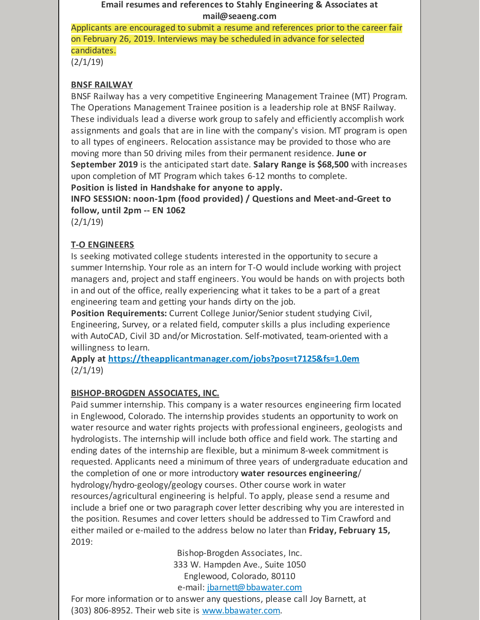#### **Email resumes and references to Stahly Engineering & Associates at mail@seaeng.com**

Applicants are encouraged to submit a resume and references prior to the career fair on February 26, 2019. Interviews may be scheduled in advance for selected candidates.

 $(2/1/19)$ 

#### **BNSF RAILWAY**

BNSF Railway has a very competitive Engineering Management Trainee (MT) Program. The Operations Management Trainee position is a leadership role at BNSF Railway. These individuals lead a diverse work group to safely and efficiently accomplish work assignments and goals that are in line with the company's vision. MT program is open to all types of engineers. Relocation assistance may be provided to those who are moving more than 50 driving miles from their permanent residence. **June or September 2019** is the anticipated start date. **Salary Range is \$68,500** with increases upon completion of MT Program which takes 6-12 months to complete. **Position is listed in Handshake for anyone to apply.**

**INFO SESSION: noon-1pm (food provided) / Questions and Meet-and-Greet to follow, until 2pm -- EN 1062**

 $(2/1/19)$ 

## **T-O ENGINEERS**

Is seeking motivated college students interested in the opportunity to secure a summer Internship. Your role as an intern for T-O would include working with project managers and, project and staff engineers. You would be hands on with projects both in and out of the office, really experiencing what it takes to be a part of a great engineering team and getting your hands dirty on the job.

**Position Requirements:** Current College Junior/Senior student studying Civil, Engineering, Survey, or a related field, computer skills a plus including experience with AutoCAD, Civil 3D and/or Microstation. Self-motivated, team-oriented with a willingness to learn.

**Apply at <https://theapplicantmanager.com/jobs?pos=t7125&fs=1.0em>**  $(2/1/19)$ 

## **BISHOP-BROGDEN ASSOCIATES, INC.**

Paid summer internship. This company is a water resources engineering firm located in Englewood, Colorado. The internship provides students an opportunity to work on water resource and water rights projects with professional engineers, geologists and hydrologists. The internship will include both office and field work. The starting and ending dates of the internship are flexible, but a minimum 8-week commitment is requested. Applicants need a minimum of three years of undergraduate education and the completion of one or more introductory **water resources engineering**/ hydrology/hydro-geology/geology courses. Other course work in water resources/agricultural engineering is helpful. To apply, please send a resume and include a brief one or two paragraph cover letter describing why you are interested in the position. Resumes and cover letters should be addressed to Tim Crawford and either mailed or e-mailed to the address below no later than **Friday, February 15,** 2019:

> Bishop-Brogden Associates, Inc. 333 W. Hampden Ave., Suite 1050 Englewood, Colorado, 80110 e-mail: [jbarnett@bbawater.com](mailto:jbarnett@bbawater.com)

For more information or to answer any questions, please call Joy Barnett, at (303) 806-8952. Their web site is [www.bbawater.com](http://www.bbawater.com).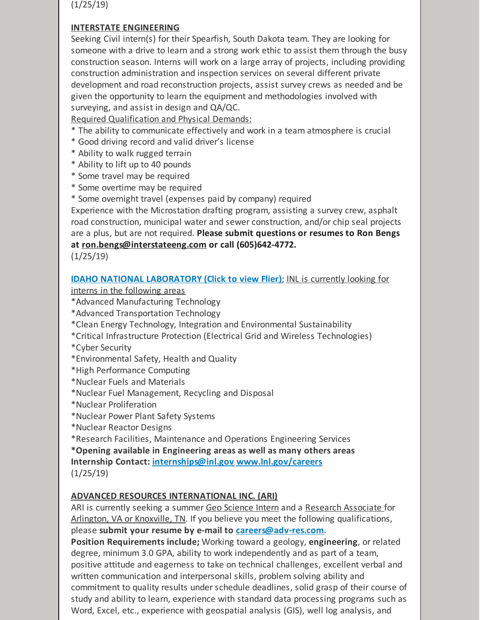(1/25/19)

#### **INTERSTATE ENGINEERING**

Seeking Civil intern(s) for their Spearfish, South Dakota team. They are looking for someone with a drive to learn and a strong work ethic to assist them through the busy construction season. Interns will work on a large array of projects, including providing construction administration and inspection services on several different private development and road reconstruction projects, assist survey crews as needed and be given the opportunity to learn the equipment and methodologies involved with surveying, and assist in design and QA/QC.

Required Qualification and Physical Demands:

- \* The ability to communicate effectively and work in a team atmosphere is crucial
- \* Good driving record and valid driver's license
- \* Ability to walk rugged terrain
- \* Ability to lift up to 40 pounds
- \* Some travel may be required
- \* Some overtime may be required
- \* Some overnight travel (expenses paid by company) required

Experience with the Microstation drafting program, assisting a survey crew, asphalt road construction, municipal water and sewer construction, and/or chip seal projects are a plus, but are not required. **Please submit questions or resumes to Ron Bengs at [ron.bengs@interstateeng.com](mailto:ron.bengs@interstateeng.com) or call (605)642-4772.**

(1/25/19)

#### **IDAHO NATIONAL [LABORATORY](https://files.constantcontact.com/b2624f04701/8df1f1d1-c92c-4158-af70-8e16d935cf6b.pdf) (Click to view Flier)**; INL is currently looking for

interns in the following areas

- \*Advanced Manufacturing Technology
- \*Advanced Transportation Technology
- \*Clean Energy Technology, Integration and Environmental Sustainability
- \*Critical Infrastructure Protection (Electrical Grid and Wireless Technologies)
- \*Cyber Security
- \*Environmental Safety, Health and Quality
- \*High Performance Computing
- \*Nuclear Fuels and Materials
- \*Nuclear Fuel Management, Recycling and Disposal
- \*Nuclear Proliferation
- \*Nuclear Power Plant Safety Systems
- \*Nuclear Reactor Designs
- \*Research Facilities, Maintenance and Operations Engineering Services
- **\*Opening available in Engineering areas as well as many others areas**

**Internship Contact: [internships@inl.gov](mailto:internships@inl.gov) [www.Inl.gov/careers](http://www.inl.gov/careers)**

(1/25/19)

## **ADVANCED RESOURCES INTERNATIONAL INC. (ARI)**

ARI is currently seeking a summer Geo Science Intern and a Research Associate for Arlington, VA or Knoxville, TN. If you believe you meet the following qualifications, please **submit your resume by e-mail to [careers@adv-res.com](mailto:careers@adv-res.com)**.

**Position Requirements include;** Working toward a geology, **engineering**, or related degree, minimum 3.0 GPA, ability to work independently and as part of a team, positive attitude and eagerness to take on technical challenges, excellent verbal and written communication and interpersonal skills, problem solving ability and commitment to quality results under schedule deadlines, solid grasp of their course of study and ability to learn, experience with standard data processing programs such as Word, Excel, etc., experience with geospatial analysis (GIS), well log analysis, and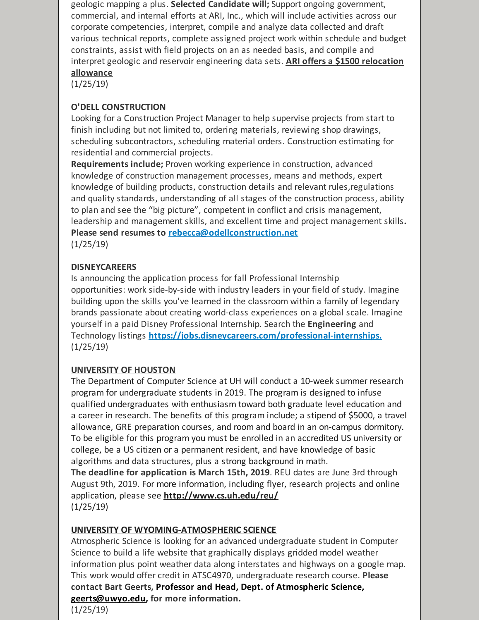geologic mapping a plus. **Selected Candidate will;** Support ongoing government, commercial, and internal efforts at ARI, Inc., which will include activities across our corporate competencies, interpret, compile and analyze data collected and draft various technical reports, complete assigned project work within schedule and budget constraints, assist with field projects on an as needed basis, and compile and interpret geologic and reservoir engineering data sets. **ARI offers a \$1500 relocation allowance**

 $(1/25/19)$ 

## **O'DELL CONSTRUCTION**

Looking for a Construction Project Manager to help supervise projects from start to finish including but not limited to, ordering materials, reviewing shop drawings, scheduling subcontractors, scheduling material orders. Construction estimating for residential and commercial projects.

**Requirements include;** Proven working experience in construction, advanced knowledge of construction management processes, means and methods, expert knowledge of building products, construction details and relevant rules,regulations and quality standards, understanding of all stages of the construction process, ability to plan and see the "big picture", competent in conflict and crisis management, leadership and management skills, and excellent time and project management skills**. Please send resumes to [rebecca@odellconstruction.net](mailto:rebecca@odellconstruction.net)** (1/25/19)

## **DISNEYCAREERS**

Is announcing the application process for fall Professional Internship opportunities: work side-by-side with industry leaders in your field of study. Imagine building upon the skills you've learned in the classroom within a family of legendary brands passionate about creating world-class experiences on a global scale. Imagine yourself in a paid Disney Professional Internship. Search the **Engineering** and Technology listings **[https://jobs.disneycareers.com/professional-internships.](https://jobs.disneycareers.com/professional-internships)**  $(1/25/19)$ 

## **UNIVERSITY OF HOUSTON**

The Department of Computer Science at UH will conduct a 10-week summer research program for undergraduate students in 2019. The program is designed to infuse qualified undergraduates with enthusiasm toward both graduate level education and a career in research. The benefits of this program include; a stipend of \$5000, a travel allowance, GRE preparation courses, and room and board in an on-campus dormitory. To be eligible for this program you must be enrolled in an accredited US university or college, be a US citizen or a permanent resident, and have knowledge of basic algorithms and data structures, plus a strong background in math.

**The deadline for application is March 15th, 2019**. REU dates are June 3rd through August 9th, 2019. For more information, including flyer, research projects and online application, please see **<http://www.cs.uh.edu/reu/>** (1/25/19)

## **UNIVERSITY OF WYOMING-ATMOSPHERIC SCIENCE**

Atmospheric Science is looking for an advanced undergraduate student in Computer Science to build a life website that graphically displays gridded model weather information plus point weather data along interstates and highways on a google map. This work would offer credit in ATSC4970, undergraduate research course. **Please contact Bart Geerts, Professor and Head, Dept. of Atmospheric Science, [geerts@uwyo.edu](mailto:geerts@uwyo.edu), for more information.**

 $(1/25/19)$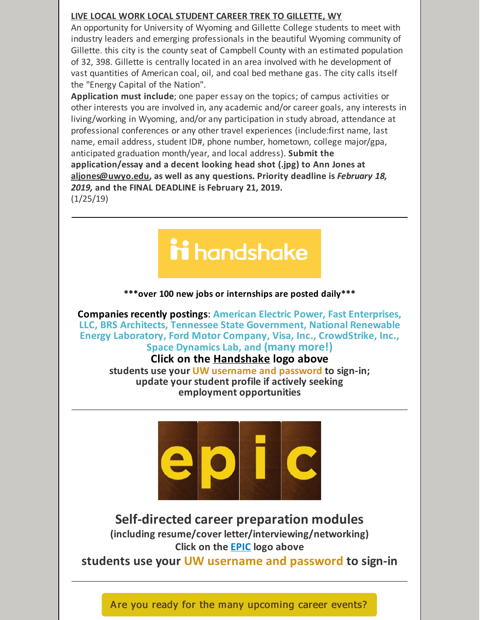#### **LIVE LOCAL WORK LOCAL STUDENT CAREER TREK TO GILLETTE, WY**

An opportunity for University of Wyoming and Gillette College students to meet with industry leaders and emerging professionals in the beautiful Wyoming community of Gillette. this city is the county seat of Campbell County with an estimated population of 32, 398. Gillette is centrally located in an area involved with he development of vast quantities of American coal, oil, and coal bed methane gas. The city calls itself the "Energy Capital of the Nation".

**Application must include**; one paper essay on the topics; of campus activities or other interests you are involved in, any academic and/or career goals, any interests in living/working in Wyoming, and/or any participation in study abroad, attendance at professional conferences or any other travel experiences (include:first name, last name, email address, student ID#, phone number, hometown, college major/gpa, anticipated graduation month/year, and local address). **Submit the application/essay and a decent looking head shot (.jpg) to Ann Jones at [aljones@uwyo.edu](mailto:aljones@uwyo.edu), as well as any questions. Priority deadline is** *February 18, 2019,* **and the FINAL DEADLINE is February 21, 2019.**

(1/25/19)



#### **\*\*\*over 100 new jobs or internships are posted daily\*\*\***

**Companies recently postings**: **American Electric Power, Fast Enterprises, LLC, BRS Architects, Tennessee State Government, National Renewable Energy Laboratory, Ford Motor Company, Visa, Inc., CrowdStrike, Inc., Space Dynamics Lab, and (many more!)**

## **Click on the [Handshake](http://www.uwyo.edu/aces/career-services/handshake.html) logo above**

**students use your UW username and password to sign-in; update your student profile if actively seeking employment opportunities**



## **Self-directed career preparation modules**

**(including resume/cover letter/interviewing/networking) Click on the [EPIC](http://www.uwyo.edu/aces/epic.html) logo above**

**students use your UW username and password to sign-in**

Are you ready for the many [upcoming](http://www.uwyo.edu/ceas/academics/advising/index.html) career events?